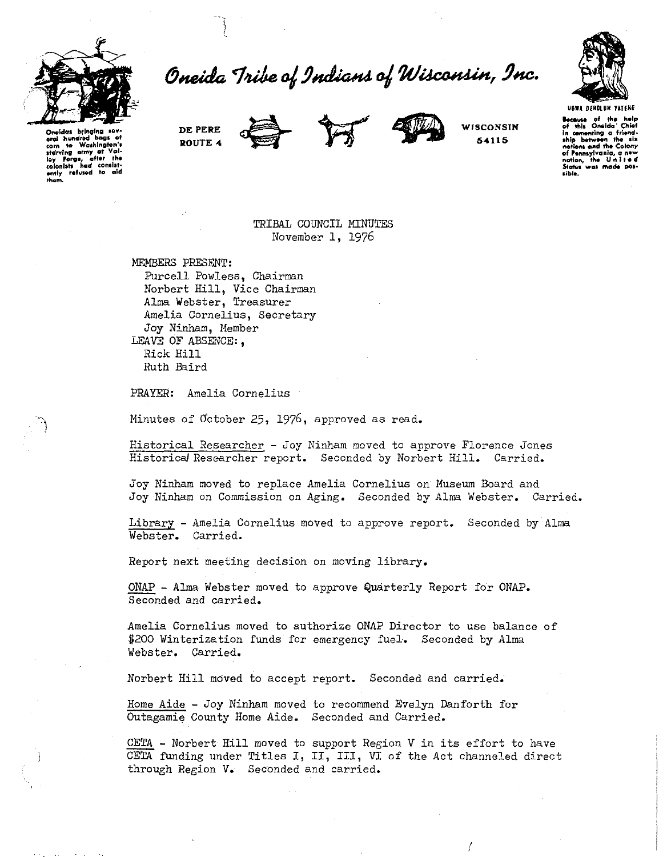

Oneida Tribe of Indians of Wisconsin, Inc.



Oneidas bring Oneidas ofinginus versi<br>erai hundrad bags of<br>starving army at Valley Forge, after the<br>colonists had consisted ently refused to aid<br>them.

DE PERE ROUTE 4





WISCONSIN 54115

Because of the help<br>of this Oneida' Chief<br>in comenting a friend-<br>ship between the six<br>nations and the Colony of Pennsylvania, a new<br>nation, the United nation, States<sup>1</sup> was made pos-

TRIBAL COUNCIL MINUTES November 1, 1976

MEMBERS PRESENT: Purcell Powless, Chairman Norbert Hill, Vice Chairman Alma Webster, Treasurer Amelia Cornelius, Secretary Joy Ninham, Member LEAVE OF ABSENCE:, Rick Hill Ruth Baird

PRAYER: Amelia Cornelius

Minutes of October 25, 1976, approved as read.

Historical Researcher - Joy Ninham moved to approve Florence Jones Historical Researcher report. Seconded by Norbert Hill. Carried.

Joy Ninham moved to replace Amelia Cornelius on Museum Board and Joy Ninham on Commission on Aging. Seconded by Alma Webster. Carried.

Library - Amelia Cornelius moved to approve report. Seconded by Alma Webster. Carried.

Report next meeting decision on moving library.

ONAP - Alma Webster moved to approve Quarterly Report for ONAP. Seconded and carried.

Amelia Cornelius moved to authorize ONAP Director to use balance of \$200 Winterization funds for emergency fuel. Seconded by Alma Webster. Carried.

Norbert Hill moved to accept report. Seconded and carried.

Home Aide - Joy Ninham moved to recommend Evelyn Danforth for Outagamie County Home Aide. Seconded and Carried.

CETA - Norbert Hill moved to support Region V in its effort to have CETA funding under Titles I, II, III, VI of the Act channeled direct through Region V. Seconded and carried.